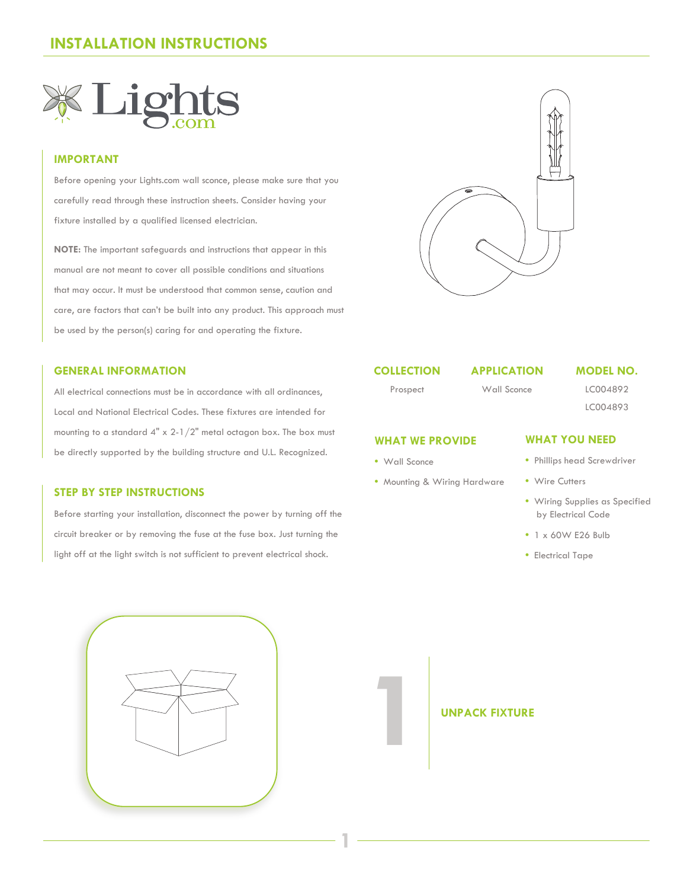

### **IMPORTANT**

Before opening your Lights.com wall sconce, please make sure that you carefully read through these instruction sheets. Consider having your fixture installed by a qualified licensed electrician.

**NOTE:** The important safeguards and instructions that appear in this manual are not meant to cover all possible conditions and situations that may occur. It must be understood that common sense, caution and care, are factors that can't be built into any product. This approach must be used by the person(s) caring for and operating the fixture.

### **GENERAL INFORMATION**

All electrical connections must be in accordance with all ordinances, Local and National Electrical Codes. These fixtures are intended for mounting to a standard 4" x 2-1/2" metal octagon box. The box must be directly supported by the building structure and U.L. Recognized.

### **STEP BY STEP INSTRUCTIONS**

Before starting your installation, disconnect the power by turning off the circuit breaker or by removing the fuse at the fuse box. Just turning the light off at the light switch is not sufficient to prevent electrical shock.



### **COLLECTION**

Prospect

### Wall Sconce

**APPLICATION**

### **MODEL NO.**

LC004892

## LC004893

### **WHAT WE PROVIDE**

**•** Wall Sconce

**1**

**•** Mounting & Wiring Hardware

### **WHAT YOU NEED**

- Phillips head Screwdriver
- Wire Cutters
- Wiring Supplies as Specified by Electrical Code
- 1 x 60W E26 Bulb
- Electrical Tape



**1** UNPACK FIXTURE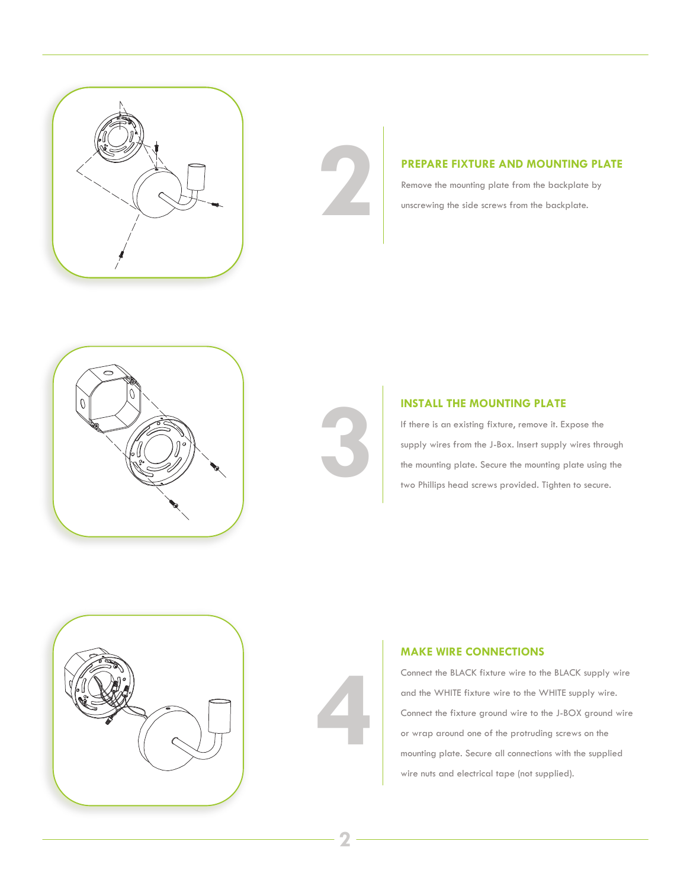



**PREPARE FIXTURE AND MOUNTING PLATE**<br>Remove the mounting plate from the backplate by<br>unscrewing the side screws from the backplate. Remove the mounting plate from the backplate by unscrewing the side screws from the backplate.





### **INSTALL THE MOUNTING PLATE**

If there is an existing fixture, remove it. Expose the supply wires from the J-Box. Insert supply wires through **INSTALL THE MOUNTING PLATE**<br>
If there is an existing fixture, remove it. Expose the<br>
supply wires from the J-Box. Insert supply wires through<br>
the mounting plate. Secure the mounting plate using the<br>
two Phillips head scr two Phillips head screws provided. Tighten to secure.





### **MAKE WIRE CONNECTIONS**

Connect the BLACK fixture wire to the BLACK supply wire and the WHITE fixture wire to the WHITE supply wire. Connect the fixture ground wire to the J-BOX ground wire or wrap around one of the protruding screws on the mounting plate. Secure all connections with the supplied wire nuts and electrical tape (not supplied).